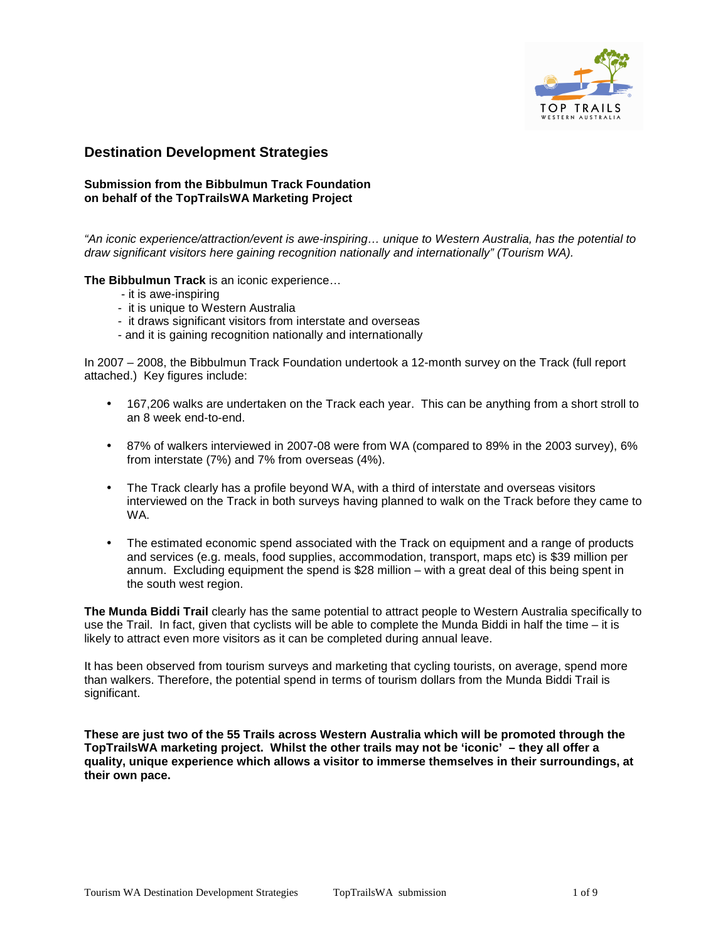

# **Destination Development Strategies**

# **Submission from the Bibbulmun Track Foundation on behalf of the TopTrailsWA Marketing Project**

"An iconic experience/attraction/event is awe-inspiring… unique to Western Australia, has the potential to draw significant visitors here gaining recognition nationally and internationally" (Tourism WA).

**The Bibbulmun Track** is an iconic experience…

- it is awe-inspiring
- it is unique to Western Australia
- it draws significant visitors from interstate and overseas
- and it is gaining recognition nationally and internationally

In 2007 – 2008, the Bibbulmun Track Foundation undertook a 12-month survey on the Track (full report attached.) Key figures include:

- 167,206 walks are undertaken on the Track each year. This can be anything from a short stroll to an 8 week end-to-end.
- 87% of walkers interviewed in 2007-08 were from WA (compared to 89% in the 2003 survey), 6% from interstate (7%) and 7% from overseas (4%).
- The Track clearly has a profile beyond WA, with a third of interstate and overseas visitors interviewed on the Track in both surveys having planned to walk on the Track before they came to WA.
- The estimated economic spend associated with the Track on equipment and a range of products and services (e.g. meals, food supplies, accommodation, transport, maps etc) is \$39 million per annum. Excluding equipment the spend is \$28 million – with a great deal of this being spent in the south west region.

**The Munda Biddi Trail** clearly has the same potential to attract people to Western Australia specifically to use the Trail. In fact, given that cyclists will be able to complete the Munda Biddi in half the time – it is likely to attract even more visitors as it can be completed during annual leave.

It has been observed from tourism surveys and marketing that cycling tourists, on average, spend more than walkers. Therefore, the potential spend in terms of tourism dollars from the Munda Biddi Trail is significant.

**These are just two of the 55 Trails across Western Australia which will be promoted through the TopTrailsWA marketing project. Whilst the other trails may not be 'iconic' – they all offer a quality, unique experience which allows a visitor to immerse themselves in their surroundings, at their own pace.**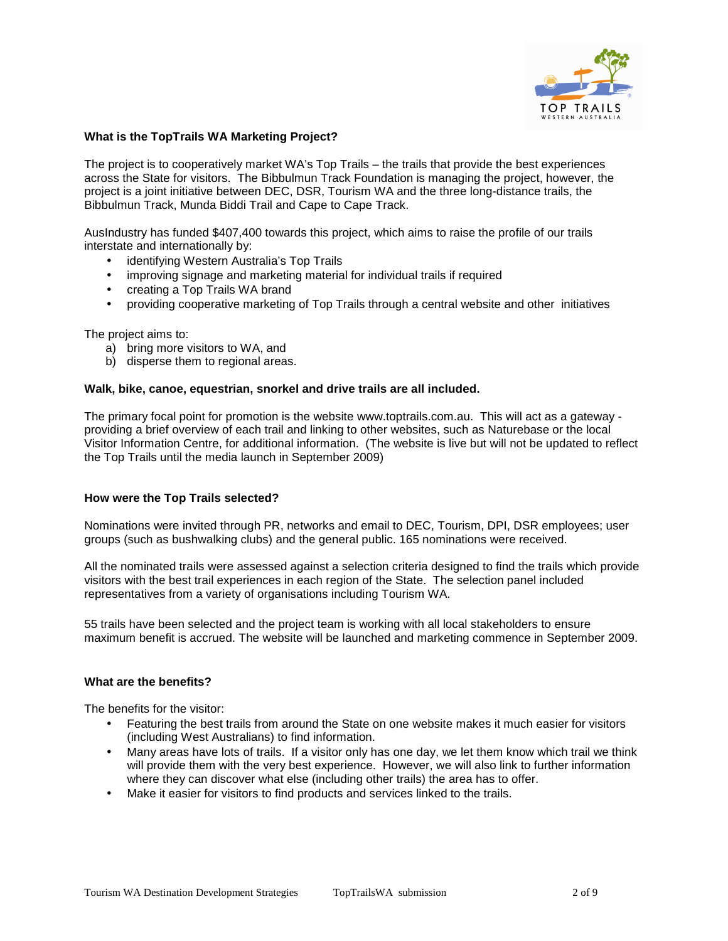

# **What is the TopTrails WA Marketing Project?**

The project is to cooperatively market WA's Top Trails – the trails that provide the best experiences across the State for visitors. The Bibbulmun Track Foundation is managing the project, however, the project is a joint initiative between DEC, DSR, Tourism WA and the three long-distance trails, the Bibbulmun Track, Munda Biddi Trail and Cape to Cape Track.

AusIndustry has funded \$407,400 towards this project, which aims to raise the profile of our trails interstate and internationally by:

- identifying Western Australia's Top Trails
- improving signage and marketing material for individual trails if required
- creating a Top Trails WA brand
- providing cooperative marketing of Top Trails through a central website and other initiatives

The project aims to:

- a) bring more visitors to WA, and
- b) disperse them to regional areas.

### **Walk, bike, canoe, equestrian, snorkel and drive trails are all included.**

The primary focal point for promotion is the website www.toptrails.com.au. This will act as a gateway providing a brief overview of each trail and linking to other websites, such as Naturebase or the local Visitor Information Centre, for additional information. (The website is live but will not be updated to reflect the Top Trails until the media launch in September 2009)

### **How were the Top Trails selected?**

Nominations were invited through PR, networks and email to DEC, Tourism, DPI, DSR employees; user groups (such as bushwalking clubs) and the general public. 165 nominations were received.

All the nominated trails were assessed against a selection criteria designed to find the trails which provide visitors with the best trail experiences in each region of the State. The selection panel included representatives from a variety of organisations including Tourism WA.

55 trails have been selected and the project team is working with all local stakeholders to ensure maximum benefit is accrued. The website will be launched and marketing commence in September 2009.

# **What are the benefits?**

The benefits for the visitor:

- Featuring the best trails from around the State on one website makes it much easier for visitors (including West Australians) to find information.
- Many areas have lots of trails. If a visitor only has one day, we let them know which trail we think will provide them with the very best experience. However, we will also link to further information where they can discover what else (including other trails) the area has to offer.
- Make it easier for visitors to find products and services linked to the trails.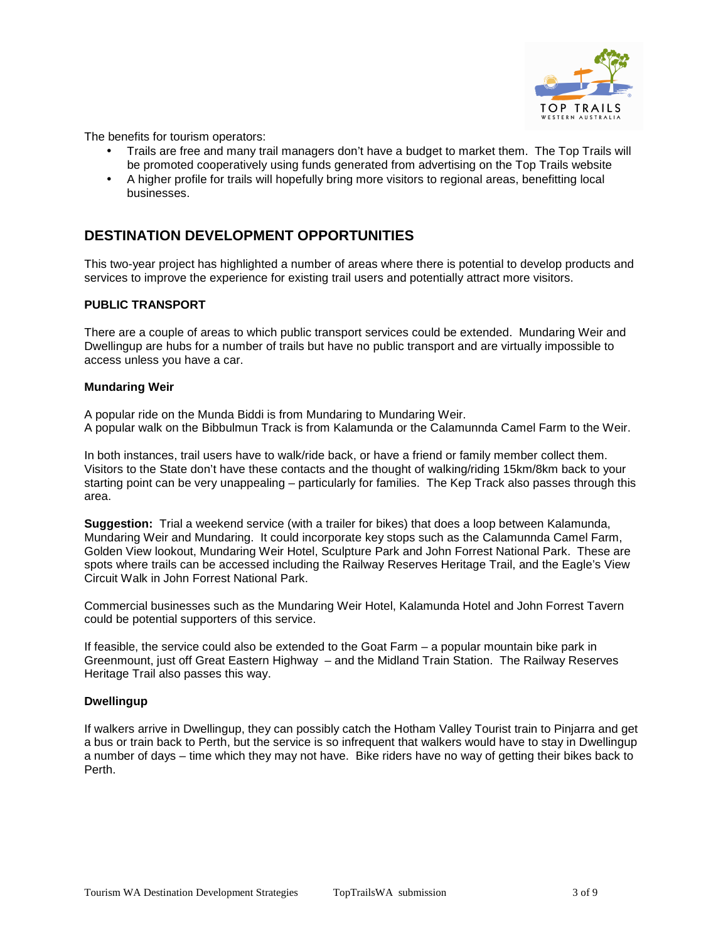

The benefits for tourism operators:

- Trails are free and many trail managers don't have a budget to market them. The Top Trails will be promoted cooperatively using funds generated from advertising on the Top Trails website
- A higher profile for trails will hopefully bring more visitors to regional areas, benefitting local businesses.

# **DESTINATION DEVELOPMENT OPPORTUNITIES**

This two-year project has highlighted a number of areas where there is potential to develop products and services to improve the experience for existing trail users and potentially attract more visitors.

# **PUBLIC TRANSPORT**

There are a couple of areas to which public transport services could be extended. Mundaring Weir and Dwellingup are hubs for a number of trails but have no public transport and are virtually impossible to access unless you have a car.

### **Mundaring Weir**

A popular ride on the Munda Biddi is from Mundaring to Mundaring Weir. A popular walk on the Bibbulmun Track is from Kalamunda or the Calamunnda Camel Farm to the Weir.

In both instances, trail users have to walk/ride back, or have a friend or family member collect them. Visitors to the State don't have these contacts and the thought of walking/riding 15km/8km back to your starting point can be very unappealing – particularly for families. The Kep Track also passes through this area.

**Suggestion:** Trial a weekend service (with a trailer for bikes) that does a loop between Kalamunda, Mundaring Weir and Mundaring. It could incorporate key stops such as the Calamunnda Camel Farm, Golden View lookout, Mundaring Weir Hotel, Sculpture Park and John Forrest National Park. These are spots where trails can be accessed including the Railway Reserves Heritage Trail, and the Eagle's View Circuit Walk in John Forrest National Park.

Commercial businesses such as the Mundaring Weir Hotel, Kalamunda Hotel and John Forrest Tavern could be potential supporters of this service.

If feasible, the service could also be extended to the Goat Farm – a popular mountain bike park in Greenmount, just off Great Eastern Highway – and the Midland Train Station. The Railway Reserves Heritage Trail also passes this way.

### **Dwellingup**

If walkers arrive in Dwellingup, they can possibly catch the Hotham Valley Tourist train to Pinjarra and get a bus or train back to Perth, but the service is so infrequent that walkers would have to stay in Dwellingup a number of days – time which they may not have. Bike riders have no way of getting their bikes back to Perth.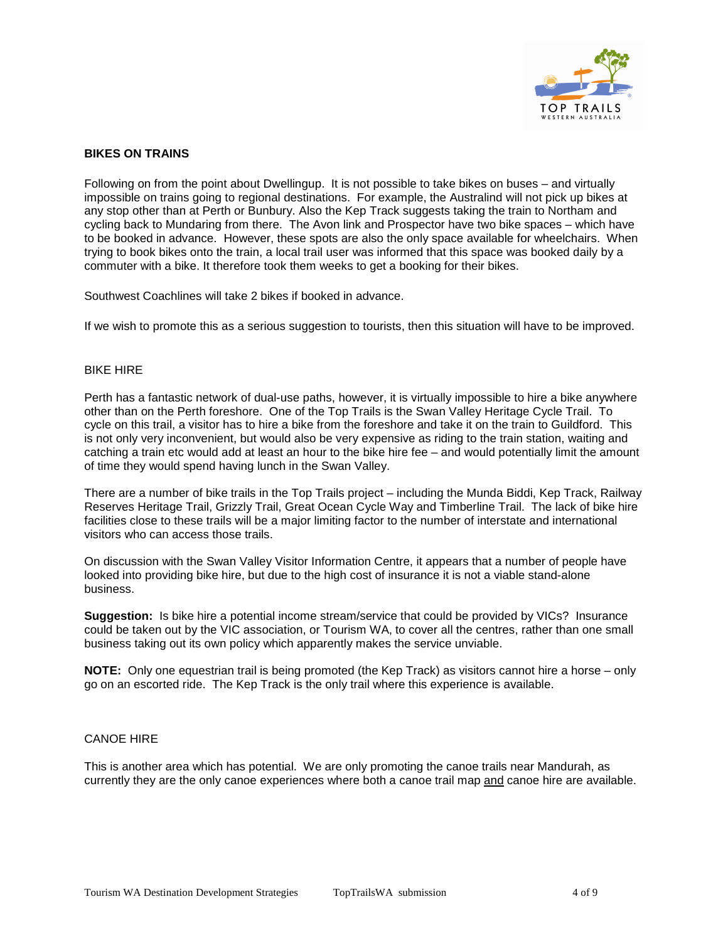

# **BIKES ON TRAINS**

Following on from the point about Dwellingup. It is not possible to take bikes on buses – and virtually impossible on trains going to regional destinations. For example, the Australind will not pick up bikes at any stop other than at Perth or Bunbury. Also the Kep Track suggests taking the train to Northam and cycling back to Mundaring from there. The Avon link and Prospector have two bike spaces – which have to be booked in advance. However, these spots are also the only space available for wheelchairs. When trying to book bikes onto the train, a local trail user was informed that this space was booked daily by a commuter with a bike. It therefore took them weeks to get a booking for their bikes.

Southwest Coachlines will take 2 bikes if booked in advance.

If we wish to promote this as a serious suggestion to tourists, then this situation will have to be improved.

#### BIKE HIRE

Perth has a fantastic network of dual-use paths, however, it is virtually impossible to hire a bike anywhere other than on the Perth foreshore. One of the Top Trails is the Swan Valley Heritage Cycle Trail. To cycle on this trail, a visitor has to hire a bike from the foreshore and take it on the train to Guildford. This is not only very inconvenient, but would also be very expensive as riding to the train station, waiting and catching a train etc would add at least an hour to the bike hire fee – and would potentially limit the amount of time they would spend having lunch in the Swan Valley.

There are a number of bike trails in the Top Trails project – including the Munda Biddi, Kep Track, Railway Reserves Heritage Trail, Grizzly Trail, Great Ocean Cycle Way and Timberline Trail. The lack of bike hire facilities close to these trails will be a major limiting factor to the number of interstate and international visitors who can access those trails.

On discussion with the Swan Valley Visitor Information Centre, it appears that a number of people have looked into providing bike hire, but due to the high cost of insurance it is not a viable stand-alone business.

**Suggestion:** Is bike hire a potential income stream/service that could be provided by VICs? Insurance could be taken out by the VIC association, or Tourism WA, to cover all the centres, rather than one small business taking out its own policy which apparently makes the service unviable.

**NOTE:** Only one equestrian trail is being promoted (the Kep Track) as visitors cannot hire a horse – only go on an escorted ride. The Kep Track is the only trail where this experience is available.

### CANOE HIRE

This is another area which has potential. We are only promoting the canoe trails near Mandurah, as currently they are the only canoe experiences where both a canoe trail map and canoe hire are available.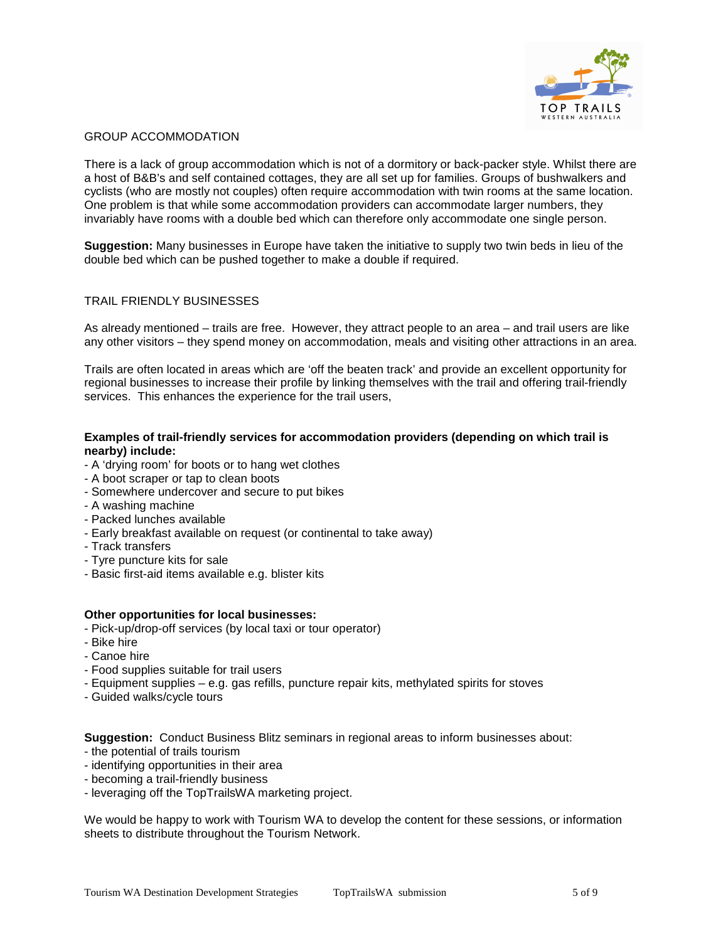

# GROUP ACCOMMODATION

There is a lack of group accommodation which is not of a dormitory or back-packer style. Whilst there are a host of B&B's and self contained cottages, they are all set up for families. Groups of bushwalkers and cyclists (who are mostly not couples) often require accommodation with twin rooms at the same location. One problem is that while some accommodation providers can accommodate larger numbers, they invariably have rooms with a double bed which can therefore only accommodate one single person.

**Suggestion:** Many businesses in Europe have taken the initiative to supply two twin beds in lieu of the double bed which can be pushed together to make a double if required.

# TRAIL FRIENDLY BUSINESSES

As already mentioned – trails are free. However, they attract people to an area – and trail users are like any other visitors – they spend money on accommodation, meals and visiting other attractions in an area.

Trails are often located in areas which are 'off the beaten track' and provide an excellent opportunity for regional businesses to increase their profile by linking themselves with the trail and offering trail-friendly services. This enhances the experience for the trail users,

## **Examples of trail-friendly services for accommodation providers (depending on which trail is nearby) include:**

- A 'drying room' for boots or to hang wet clothes
- A boot scraper or tap to clean boots
- Somewhere undercover and secure to put bikes
- A washing machine
- Packed lunches available
- Early breakfast available on request (or continental to take away)
- Track transfers
- Tyre puncture kits for sale
- Basic first-aid items available e.g. blister kits

### **Other opportunities for local businesses:**

- Pick-up/drop-off services (by local taxi or tour operator)
- Bike hire
- Canoe hire
- Food supplies suitable for trail users
- Equipment supplies e.g. gas refills, puncture repair kits, methylated spirits for stoves
- Guided walks/cycle tours

**Suggestion:** Conduct Business Blitz seminars in regional areas to inform businesses about:

- the potential of trails tourism
- identifying opportunities in their area
- becoming a trail-friendly business
- leveraging off the TopTrailsWA marketing project.

We would be happy to work with Tourism WA to develop the content for these sessions, or information sheets to distribute throughout the Tourism Network.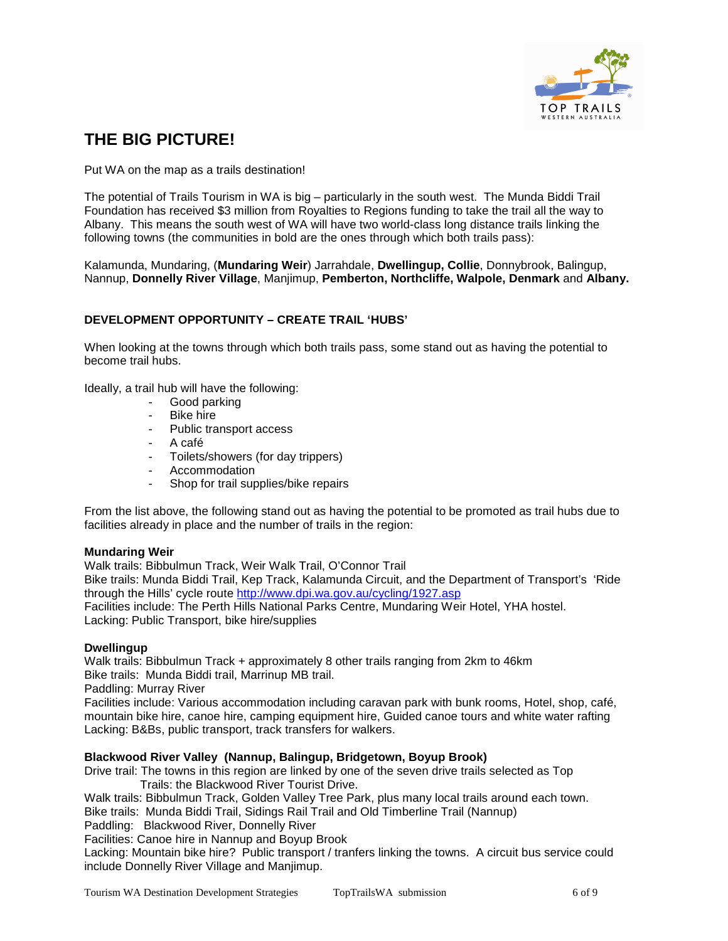

# **THE BIG PICTURE!**

Put WA on the map as a trails destination!

The potential of Trails Tourism in WA is big – particularly in the south west. The Munda Biddi Trail Foundation has received \$3 million from Royalties to Regions funding to take the trail all the way to Albany. This means the south west of WA will have two world-class long distance trails linking the following towns (the communities in bold are the ones through which both trails pass):

Kalamunda, Mundaring, (**Mundaring Weir**) Jarrahdale, **Dwellingup, Collie**, Donnybrook, Balingup, Nannup, **Donnelly River Village**, Manjimup, **Pemberton, Northcliffe, Walpole, Denmark** and **Albany.** 

# **DEVELOPMENT OPPORTUNITY – CREATE TRAIL 'HUBS'**

When looking at the towns through which both trails pass, some stand out as having the potential to become trail hubs.

Ideally, a trail hub will have the following:

- Good parking
- Bike hire
- Public transport access
- A café
- Toilets/showers (for day trippers)
- **Accommodation**
- Shop for trail supplies/bike repairs

From the list above, the following stand out as having the potential to be promoted as trail hubs due to facilities already in place and the number of trails in the region:

### **Mundaring Weir**

Walk trails: Bibbulmun Track, Weir Walk Trail, O'Connor Trail Bike trails: Munda Biddi Trail, Kep Track, Kalamunda Circuit, and the Department of Transport's 'Ride through the Hills' cycle route http://www.dpi.wa.gov.au/cycling/1927.asp

Facilities include: The Perth Hills National Parks Centre, Mundaring Weir Hotel, YHA hostel. Lacking: Public Transport, bike hire/supplies

# **Dwellingup**

Walk trails: Bibbulmun Track + approximately 8 other trails ranging from 2km to 46km Bike trails: Munda Biddi trail, Marrinup MB trail.

Paddling: Murray River

Facilities include: Various accommodation including caravan park with bunk rooms, Hotel, shop, café, mountain bike hire, canoe hire, camping equipment hire, Guided canoe tours and white water rafting Lacking: B&Bs, public transport, track transfers for walkers.

### **Blackwood River Valley (Nannup, Balingup, Bridgetown, Boyup Brook)**

Drive trail: The towns in this region are linked by one of the seven drive trails selected as Top Trails: the Blackwood River Tourist Drive.

Walk trails: Bibbulmun Track, Golden Valley Tree Park, plus many local trails around each town.

Bike trails: Munda Biddi Trail, Sidings Rail Trail and Old Timberline Trail (Nannup)

Paddling: Blackwood River, Donnelly River

Facilities: Canoe hire in Nannup and Boyup Brook

Lacking: Mountain bike hire? Public transport / tranfers linking the towns. A circuit bus service could include Donnelly River Village and Manjimup.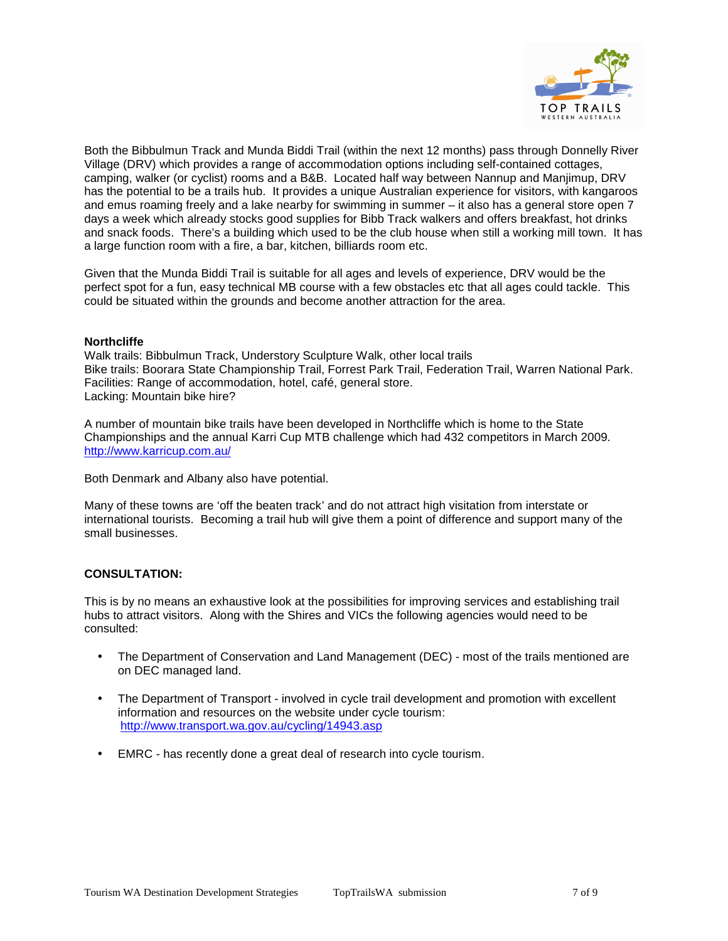

Both the Bibbulmun Track and Munda Biddi Trail (within the next 12 months) pass through Donnelly River Village (DRV) which provides a range of accommodation options including self-contained cottages, camping, walker (or cyclist) rooms and a B&B. Located half way between Nannup and Manjimup, DRV has the potential to be a trails hub. It provides a unique Australian experience for visitors, with kangaroos and emus roaming freely and a lake nearby for swimming in summer – it also has a general store open 7 days a week which already stocks good supplies for Bibb Track walkers and offers breakfast, hot drinks and snack foods. There's a building which used to be the club house when still a working mill town. It has a large function room with a fire, a bar, kitchen, billiards room etc.

Given that the Munda Biddi Trail is suitable for all ages and levels of experience, DRV would be the perfect spot for a fun, easy technical MB course with a few obstacles etc that all ages could tackle. This could be situated within the grounds and become another attraction for the area.

### **Northcliffe**

Walk trails: Bibbulmun Track, Understory Sculpture Walk, other local trails Bike trails: Boorara State Championship Trail, Forrest Park Trail, Federation Trail, Warren National Park. Facilities: Range of accommodation, hotel, café, general store. Lacking: Mountain bike hire?

A number of mountain bike trails have been developed in Northcliffe which is home to the State Championships and the annual Karri Cup MTB challenge which had 432 competitors in March 2009. http://www.karricup.com.au/

Both Denmark and Albany also have potential.

Many of these towns are 'off the beaten track' and do not attract high visitation from interstate or international tourists. Becoming a trail hub will give them a point of difference and support many of the small businesses.

### **CONSULTATION:**

This is by no means an exhaustive look at the possibilities for improving services and establishing trail hubs to attract visitors. Along with the Shires and VICs the following agencies would need to be consulted:

- The Department of Conservation and Land Management (DEC) most of the trails mentioned are on DEC managed land.
- The Department of Transport involved in cycle trail development and promotion with excellent information and resources on the website under cycle tourism: http://www.transport.wa.gov.au/cycling/14943.asp
- EMRC has recently done a great deal of research into cycle tourism.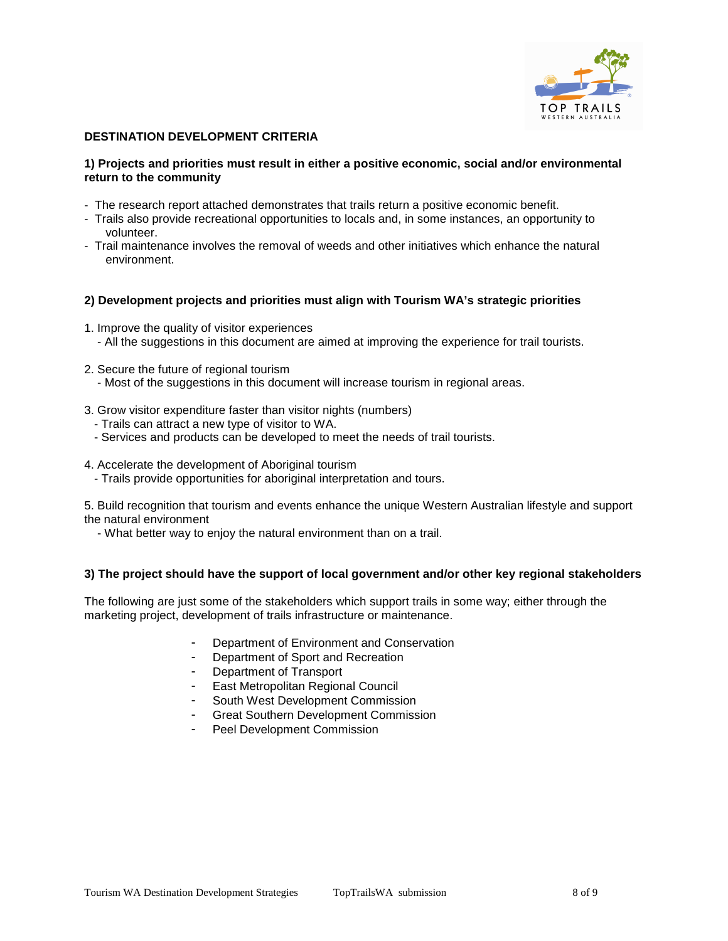

# **DESTINATION DEVELOPMENT CRITERIA**

### **1) Projects and priorities must result in either a positive economic, social and/or environmental return to the community**

- The research report attached demonstrates that trails return a positive economic benefit.
- Trails also provide recreational opportunities to locals and, in some instances, an opportunity to volunteer.
- Trail maintenance involves the removal of weeds and other initiatives which enhance the natural environment.

### **2) Development projects and priorities must align with Tourism WA's strategic priorities**

- 1. Improve the quality of visitor experiences - All the suggestions in this document are aimed at improving the experience for trail tourists.
- 2. Secure the future of regional tourism
	- Most of the suggestions in this document will increase tourism in regional areas.
- 3. Grow visitor expenditure faster than visitor nights (numbers)
- Trails can attract a new type of visitor to WA.
- Services and products can be developed to meet the needs of trail tourists.
- 4. Accelerate the development of Aboriginal tourism
	- Trails provide opportunities for aboriginal interpretation and tours.

5. Build recognition that tourism and events enhance the unique Western Australian lifestyle and support the natural environment

- What better way to enjoy the natural environment than on a trail.

### **3) The project should have the support of local government and/or other key regional stakeholders**

The following are just some of the stakeholders which support trails in some way; either through the marketing project, development of trails infrastructure or maintenance.

- Department of Environment and Conservation
- Department of Sport and Recreation
- Department of Transport
- East Metropolitan Regional Council
- South West Development Commission
- Great Southern Development Commission
- Peel Development Commission